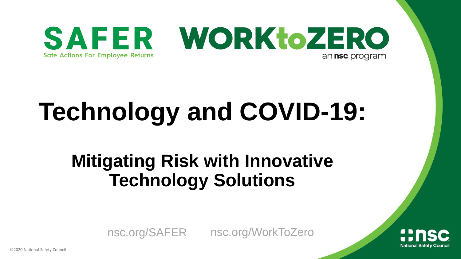

## **Technology and COVID-19:**

#### **Mitigating Risk with Innovative Technology Solutions**



nsc.org/SAFER nsc.org/WorkToZero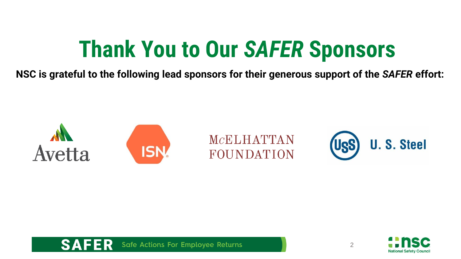### **Thank You to Our** *SAFER* **Sponsors**

**NSC is grateful to the following lead sponsors for their generous support of the** *SAFER* **effort:**





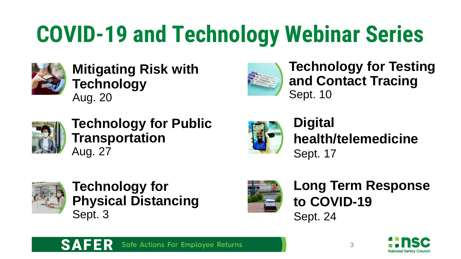## **COVID-19 and Technology Webinar Series**



#### **Mitigating Risk with Technology** Aug. 20



**Technology for Testing and Contact Tracing** Sept. 10



**Technology for Public Transportation** Aug. 27



**Digital health/telemedicine** Sept. 17



**Technology for Physical Distancing** Sept. 3



**Long Term Response to COVID-19** Sept. 24



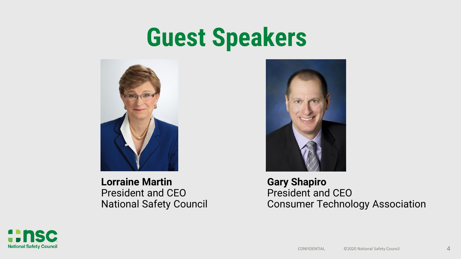## **Guest Speakers**



**Lorraine Martin** President and CEO National Safety Council



**Gary Shapiro** President and CEO Consumer Technology Association

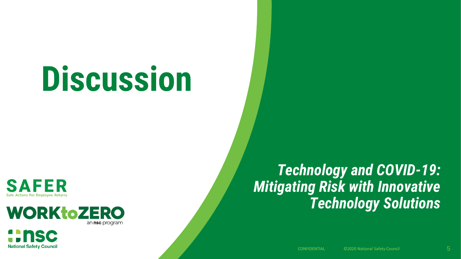# **Discussion**

**SAFER** Safe Actions For Emplovee Returns

nsc

**National Safety Council** 



*Technology and COVID-19: Mitigating Risk with Innovative Technology Solutions*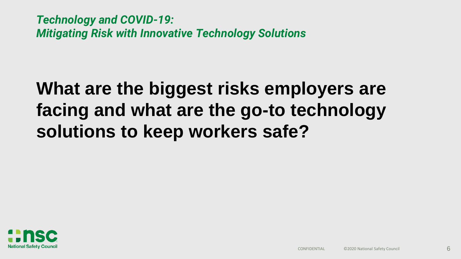#### **What are the biggest risks employers are facing and what are the go-to technology solutions to keep workers safe?**

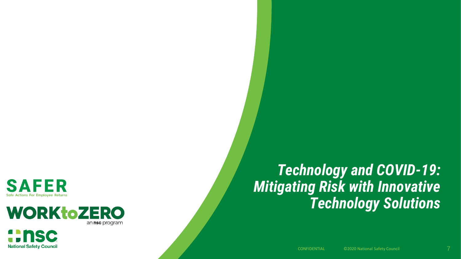

**National Safety Council** 



#### *Technology and COVID-19: Mitigating Risk with Innovative Technology Solutions*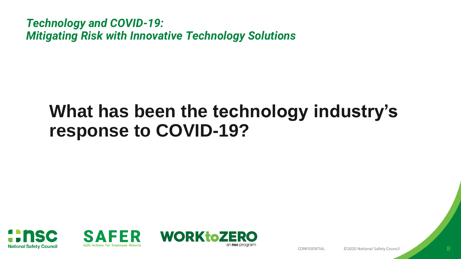#### **What has been the technology industry's response to COVID-19?**





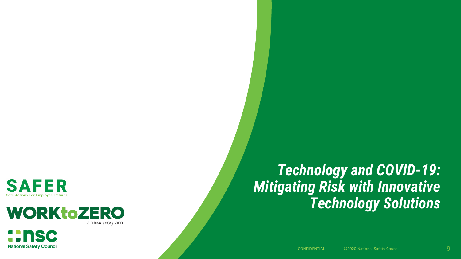

**National Safety Council** 



#### *Technology and COVID-19: Mitigating Risk with Innovative Technology Solutions*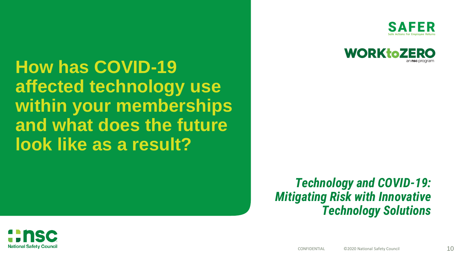**How has COVID-19 affected technology use within your memberships and what does the future look like as a result?** 





*Technology and COVID-19: Mitigating Risk with Innovative Technology Solutions*

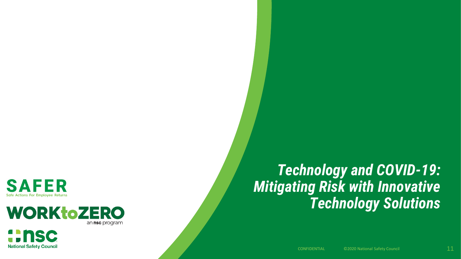

**National Safety Council** 



#### *Technology and COVID-19: Mitigating Risk with Innovative Technology Solutions*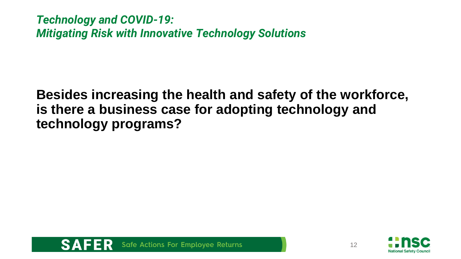**Besides increasing the health and safety of the workforce, is there a business case for adopting technology and technology programs?**





12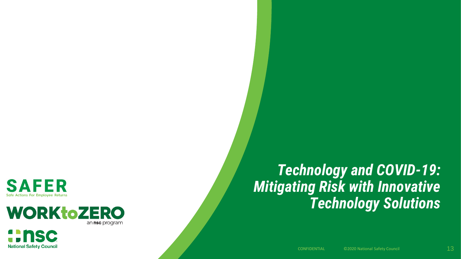

**National Safety Council** 



#### *Technology and COVID-19: Mitigating Risk with Innovative Technology Solutions*

CONFIDENTIAL CO2020 National Safety Council 2004 2012 13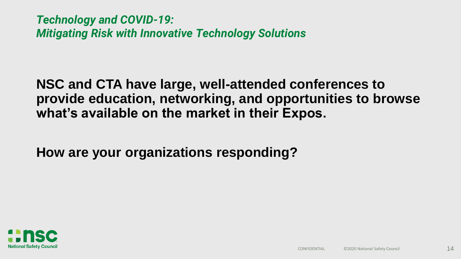**NSC and CTA have large, well-attended conferences to provide education, networking, and opportunities to browse what's available on the market in their Expos.** 

**How are your organizations responding?** 

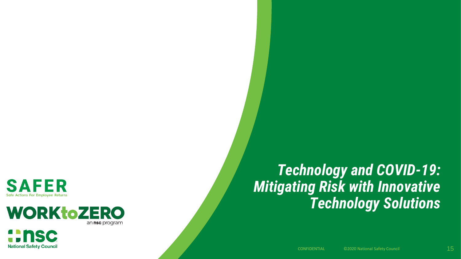

**National Safety Council** 



#### *Technology and COVID-19: Mitigating Risk with Innovative Technology Solutions*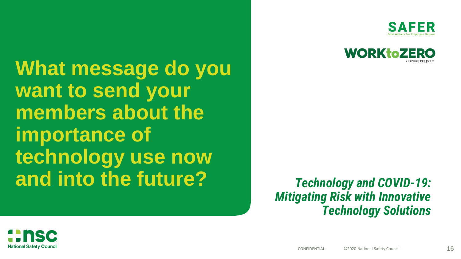SAF



**title styles in the style struck of the struck struck What message do you want to send your members about the importance of technology use now and into the future?**

*Technology and COVID-19: Mitigating Risk with Innovative Technology Solutions*

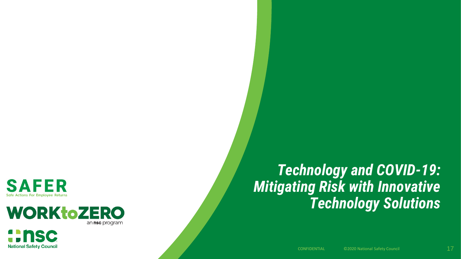

**National Safety Council** 



#### *Technology and COVID-19: Mitigating Risk with Innovative Technology Solutions*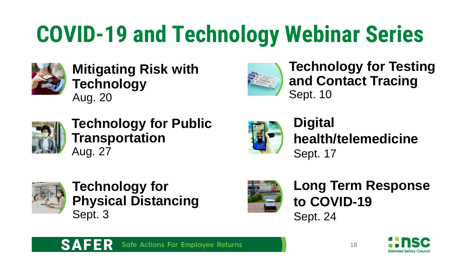## **COVID-19 and Technology Webinar Series**



#### **Mitigating Risk with Technology** Aug. 20



**Technology for Testing and Contact Tracing** Sept. 10



**Technology for Public Transportation** Aug. 27



**Digital health/telemedicine** Sept. 17



**Technology for Physical Distancing** Sept. 3



**Long Term Response to COVID-19** Sept. 24



**Safe Actions For Employee Returns**